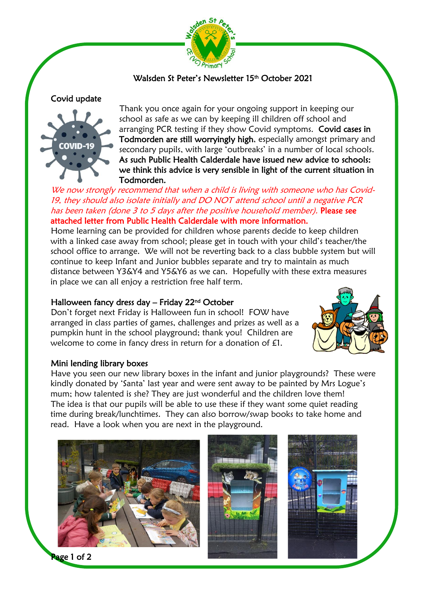

### Walsden St Peter's Newsletter 15th October 2021

Covid update



Thank you once again for your ongoing support in keeping our school as safe as we can by keeping ill children off school and arranging PCR testing if they show Covid symptoms. Covid cases in Todmorden are still worryingly high, especially amongst primary and secondary pupils, with large 'outbreaks' in a number of local schools. As such Public Health Calderdale have issued new advice to schools: we think this advice is very sensible in light of the current situation in Todmorden.

We now strongly recommend that when a child is living with someone who has Covid-19, they should also isolate initially and DO NOT attend school until a negative PCR has been taken (done 3 to 5 days after the positive household member). Please see attached letter from Public Health Calderdale with more information.

Home learning can be provided for children whose parents decide to keep children with a linked case away from school; please get in touch with your child's teacher/the school office to arrange. We will not be reverting back to a class bubble system but will continue to keep Infant and Junior bubbles separate and try to maintain as much distance between Y3&Y4 and Y5&Y6 as we can. Hopefully with these extra measures in place we can all enjoy a restriction free half term.

#### Halloween fancy dress day – Friday 22nd October

Don't forget next Friday is Halloween fun in school! FOW have arranged in class parties of games, challenges and prizes as well as a pumpkin hunt in the school playground; thank you! Children are welcome to come in fancy dress in return for a donation of £1.



#### Mini lending library boxes

Have you seen our new library boxes in the infant and junior playgrounds? These were kindly donated by 'Santa' last year and were sent away to be painted by Mrs Logue's mum; how talented is she? They are just wonderful and the children love them! The idea is that our pupils will be able to use these if they want some quiet reading time during break/lunchtimes. They can also borrow/swap books to take home and read. Have a look when you are next in the playground.